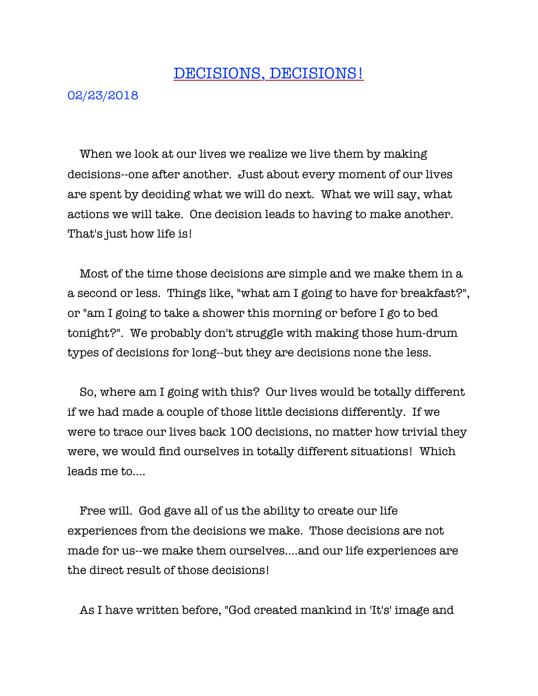## DECISIONS, DECISIONS!

## 02/23/2018

 When we look at our lives we realize we live them by making decisions--one after another. Just about every moment of our lives are spent by deciding what we will do next. What we will say, what actions we will take. One decision leads to having to make another. That's just how life is!

 Most of the time those decisions are simple and we make them in a a second or less. Things like, "what am I going to have for breakfast?", or "am I going to take a shower this morning or before I go to bed tonight?". We probably don't struggle with making those hum-drum types of decisions for long--but they are decisions none the less.

 So, where am I going with this? Our lives would be totally different if we had made a couple of those little decisions differently. If we were to trace our lives back 100 decisions, no matter how trivial they were, we would find ourselves in totally different situations! Which leads me to….

 Free will. God gave all of us the ability to create our life experiences from the decisions we make. Those decisions are not made for us--we make them ourselves….and our life experiences are the direct result of those decisions!

As I have written before, "God created mankind in 'It's' image and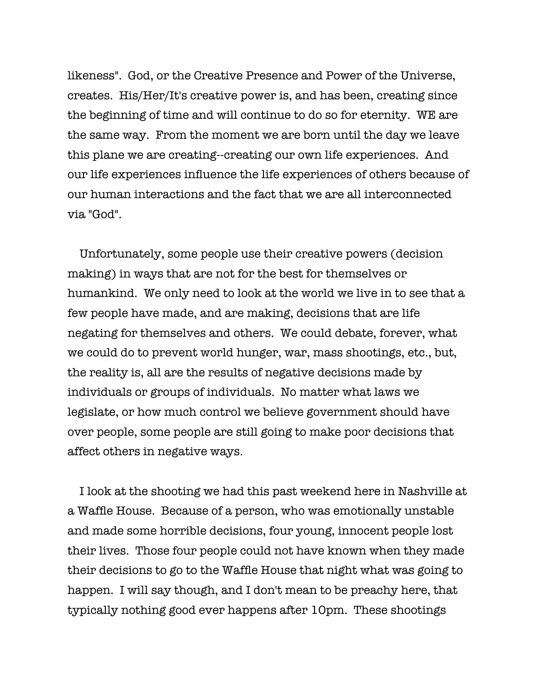likeness". God, or the Creative Presence and Power of the Universe, creates. His/Her/It's creative power is, and has been, creating since the beginning of time and will continue to do so for eternity. WE are the same way. From the moment we are born until the day we leave this plane we are creating--creating our own life experiences. And our life experiences influence the life experiences of others because of our human interactions and the fact that we are all interconnected via "God".

 Unfortunately, some people use their creative powers (decision making) in ways that are not for the best for themselves or humankind. We only need to look at the world we live in to see that a few people have made, and are making, decisions that are life negating for themselves and others. We could debate, forever, what we could do to prevent world hunger, war, mass shootings, etc., but, the reality is, all are the results of negative decisions made by individuals or groups of individuals. No matter what laws we legislate, or how much control we believe government should have over people, some people are still going to make poor decisions that affect others in negative ways.

 I look at the shooting we had this past weekend here in Nashville at a Waffle House. Because of a person, who was emotionally unstable and made some horrible decisions, four young, innocent people lost their lives. Those four people could not have known when they made their decisions to go to the Waffle House that night what was going to happen. I will say though, and I don't mean to be preachy here, that typically nothing good ever happens after 10pm. These shootings